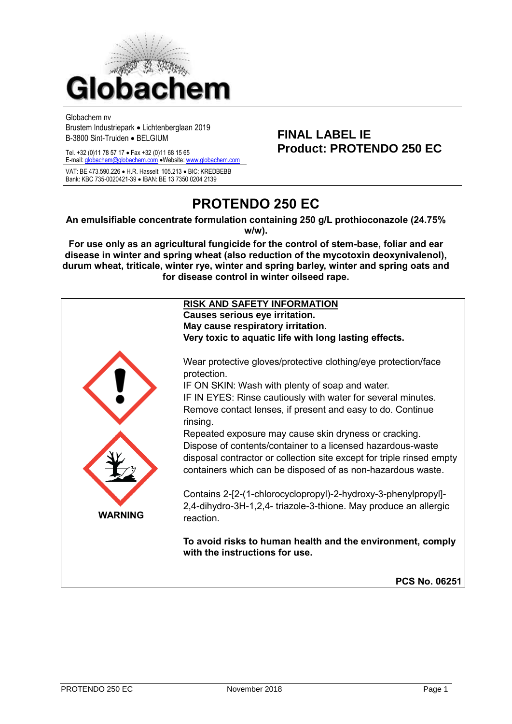

Globachem nv

Brustem Industriepark • Lichtenberglaan 2019 B-3800 Sint-Truiden • BELGIUM **FINAL LABEL IE**

E-mail[: globachem@globachem.com](mailto:globachem@globachem.com) • Website: www.glob

VAT: BE 473.590.226 • H.R. Hasselt: 105.213 • BIC: KREDBEBB Bank: KBC 735-0020421-39 • IBAN: BE 13 7350 0204 2139

# Tel. +32 (0)11 78 57 17 • Fax +32 (0)11 68 15 65 **Product: PROTENDO 250 EC**

# **PROTENDO 250 EC**

**An emulsifiable concentrate formulation containing 250 g/L prothioconazole (24.75% w/w).**

**For use only as an agricultural fungicide for the control of stem-base, foliar and ear disease in winter and spring wheat (also reduction of the mycotoxin deoxynivalenol), durum wheat, triticale, winter rye, winter and spring barley, winter and spring oats and for disease control in winter oilseed rape.**

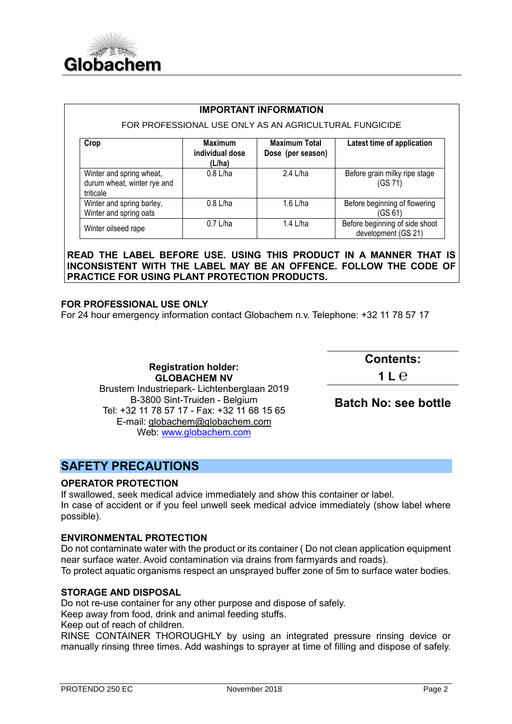

#### FOR PROFESSIONAL USE ONLY AS AN AGRICULTURAL FUNGICIDE

| Crop                                                                 | <b>Maximum</b><br>individual dose<br>(L/ha) | <b>Maximum Total</b><br>Dose (per season) | Latest time of application                            |
|----------------------------------------------------------------------|---------------------------------------------|-------------------------------------------|-------------------------------------------------------|
| Winter and spring wheat,<br>durum wheat, winter rye and<br>triticale | $0.8$ L/ha                                  | 2.4 L/ha                                  | Before grain milky ripe stage<br>(GS 71)              |
| Winter and spring barley,<br>Winter and spring oats                  | $0.8$ L/ha                                  | 1.6 L/ha                                  | Before beginning of flowering<br>(GS 61)              |
| Winter oilseed rape                                                  | $0.7$ L/ha                                  | 1.4 L/ha                                  | Before beginning of side shoot<br>development (GS 21) |

**READ THE LABEL BEFORE USE. USING THIS PRODUCT IN A MANNER THAT IS INCONSISTENT WITH THE LABEL MAY BE AN OFFENCE. FOLLOW THE CODE OF PRACTICE FOR USING PLANT PROTECTION PRODUCTS.**

#### **FOR PROFESSIONAL USE ONLY**

For 24 hour emergency information contact Globachem n.v. Telephone: +32 11 78 57 17

**Registration holder: GLOBACHEM NV** Brustem Industriepark- Lichtenberglaan 2019 B-3800 Sint-Truiden - Belgium Tel: +32 11 78 57 17 - Fax: +32 11 68 15 65 E-mail: [globachem@globachem.com](mailto:globachem@globachem.com) Web: [www.globachem.com](http://www.globachem.com/)

**Contents:** 

**1 L ℮**

#### **Batch No: see bottle**

# **SAFETY PRECAUTIONS**

#### **OPERATOR PROTECTION**

If swallowed, seek medical advice immediately and show this container or label. In case of accident or if you feel unwell seek medical advice immediately (show label where possible).

#### **ENVIRONMENTAL PROTECTION**

Do not contaminate water with the product or its container ( Do not clean application equipment near surface water. Avoid contamination via drains from farmyards and roads).

To protect aquatic organisms respect an unsprayed buffer zone of 5m to surface water bodies.

#### **STORAGE AND DISPOSAL**

Do not re-use container for any other purpose and dispose of safely.

Keep away from food, drink and animal feeding stuffs.

Keep out of reach of children.

RINSE CONTAINER THOROUGHLY by using an integrated pressure rinsing device or manually rinsing three times. Add washings to sprayer at time of filling and dispose of safely.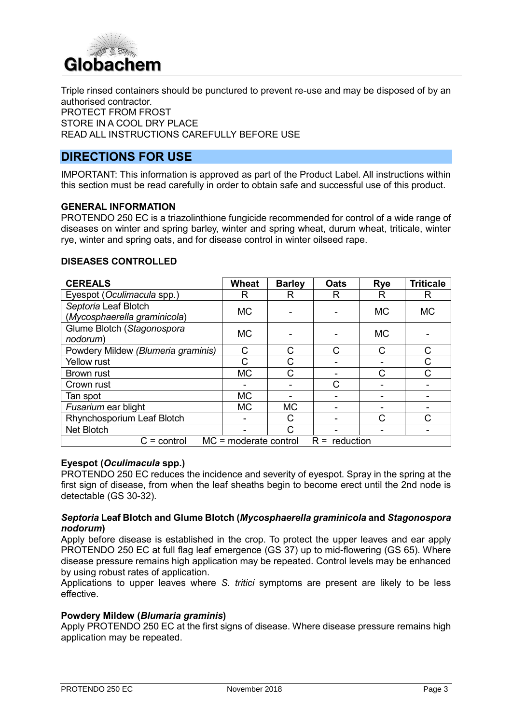

Triple rinsed containers should be punctured to prevent re-use and may be disposed of by an authorised contractor. PROTECT FROM FROST STORE IN A COOL DRY PLACE READ ALL INSTRUCTIONS CAREFULLY BEFORE USE

# **DIRECTIONS FOR USE**

IMPORTANT: This information is approved as part of the Product Label. All instructions within this section must be read carefully in order to obtain safe and successful use of this product.

#### **GENERAL INFORMATION**

PROTENDO 250 EC is a triazolinthione fungicide recommended for control of a wide range of diseases on winter and spring barley, winter and spring wheat, durum wheat, triticale, winter rye, winter and spring oats, and for disease control in winter oilseed rape.

#### **DISEASES CONTROLLED**

| <b>CEREALS</b>                                              | <b>Wheat</b> | <b>Barley</b> | <b>Oats</b>  | <b>Rye</b> | <b>Triticale</b> |
|-------------------------------------------------------------|--------------|---------------|--------------|------------|------------------|
| Eyespot (Oculimacula spp.)                                  | R            | R             | R            | R          | R                |
| Septoria Leaf Blotch<br>(Mycosphaerella graminicola)        | <b>MC</b>    |               |              | <b>MC</b>  | <b>MC</b>        |
| Glume Blotch (Stagonospora<br>nodorum)                      | <b>MC</b>    |               |              | <b>MC</b>  |                  |
| Powdery Mildew (Blumeria graminis)                          | С            | С             | $\mathsf{C}$ | C          | C                |
| <b>Yellow rust</b>                                          |              | С             |              |            | С                |
| <b>Brown rust</b>                                           | <b>MC</b>    | C             |              | C          | $\mathsf{C}$     |
| Crown rust                                                  |              |               | C            |            |                  |
| Tan spot                                                    | <b>MC</b>    |               |              |            |                  |
| Fusarium ear blight                                         | <b>MC</b>    | <b>MC</b>     |              |            |                  |
| Rhynchosporium Leaf Blotch                                  |              | C             |              | C          | С                |
| Net Blotch                                                  |              | C             |              |            |                  |
| $MC = moderate control$<br>$R =$ reduction<br>$C =$ control |              |               |              |            |                  |

#### **Eyespot (***Oculimacula* **spp.)**

PROTENDO 250 EC reduces the incidence and severity of eyespot. Spray in the spring at the first sign of disease, from when the leaf sheaths begin to become erect until the 2nd node is detectable (GS 30-32).

#### *Septoria* **Leaf Blotch and Glume Blotch (***Mycosphaerella graminicola* **and** *Stagonospora nodorum***)**

Apply before disease is established in the crop. To protect the upper leaves and ear apply PROTENDO 250 EC at full flag leaf emergence (GS 37) up to mid-flowering (GS 65). Where disease pressure remains high application may be repeated. Control levels may be enhanced by using robust rates of application.

Applications to upper leaves where *S. tritici* symptoms are present are likely to be less effective.

#### **Powdery Mildew (***Blumaria graminis***)**

Apply PROTENDO 250 EC at the first signs of disease. Where disease pressure remains high application may be repeated.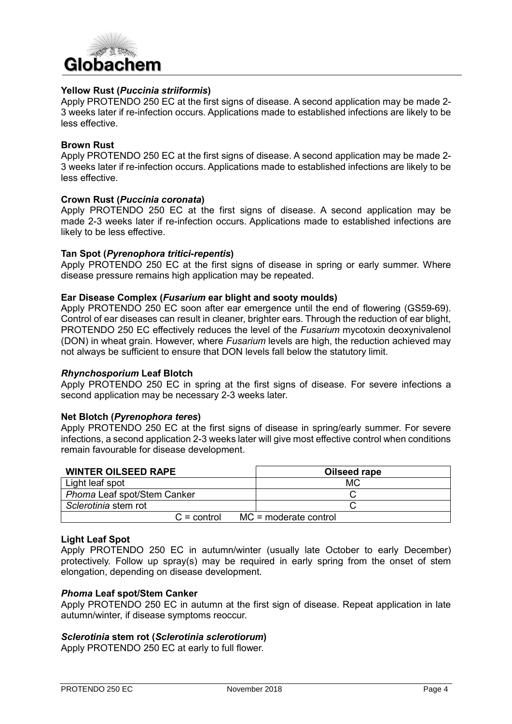

#### **Yellow Rust (***Puccinia striiformis***)**

Apply PROTENDO 250 EC at the first signs of disease. A second application may be made 2- 3 weeks later if re-infection occurs. Applications made to established infections are likely to be less effective.

#### **Brown Rust**

Apply PROTENDO 250 EC at the first signs of disease. A second application may be made 2- 3 weeks later if re-infection occurs. Applications made to established infections are likely to be less effective.

#### **Crown Rust (***Puccinia coronata***)**

Apply PROTENDO 250 EC at the first signs of disease. A second application may be made 2-3 weeks later if re-infection occurs. Applications made to established infections are likely to be less effective.

#### **Tan Spot (***Pyrenophora tritici-repentis***)**

Apply PROTENDO 250 EC at the first signs of disease in spring or early summer. Where disease pressure remains high application may be repeated.

#### **Ear Disease Complex (***Fusarium* **ear blight and sooty moulds)**

Apply PROTENDO 250 EC soon after ear emergence until the end of flowering (GS59-69). Control of ear diseases can result in cleaner, brighter ears. Through the reduction of ear blight, PROTENDO 250 EC effectively reduces the level of the *Fusarium* mycotoxin deoxynivalenol (DON) in wheat grain. However, where *Fusarium* levels are high, the reduction achieved may not always be sufficient to ensure that DON levels fall below the statutory limit.

#### *Rhynchosporium* **Leaf Blotch**

Apply PROTENDO 250 EC in spring at the first signs of disease. For severe infections a second application may be necessary 2-3 weeks later.

#### **Net Blotch (***Pyrenophora teres***)**

Apply PROTENDO 250 EC at the first signs of disease in spring/early summer. For severe infections, a second application 2-3 weeks later will give most effective control when conditions remain favourable for disease development.

| <b>WINTER OILSEED RAPE</b>  | Oilseed rape            |  |  |
|-----------------------------|-------------------------|--|--|
| Light leaf spot             | МC                      |  |  |
| Phoma Leaf spot/Stem Canker |                         |  |  |
| Sclerotinia stem rot        |                         |  |  |
| $C =$ control               | $MC = moderate control$ |  |  |

#### **Light Leaf Spot**

Apply PROTENDO 250 EC in autumn/winter (usually late October to early December) protectively. Follow up spray(s) may be required in early spring from the onset of stem elongation, depending on disease development.

#### *Phoma* **Leaf spot/Stem Canker**

Apply PROTENDO 250 EC in autumn at the first sign of disease. Repeat application in late autumn/winter, if disease symptoms reoccur.

#### *Sclerotinia* **stem rot (***Sclerotinia sclerotiorum***)**

Apply PROTENDO 250 EC at early to full flower.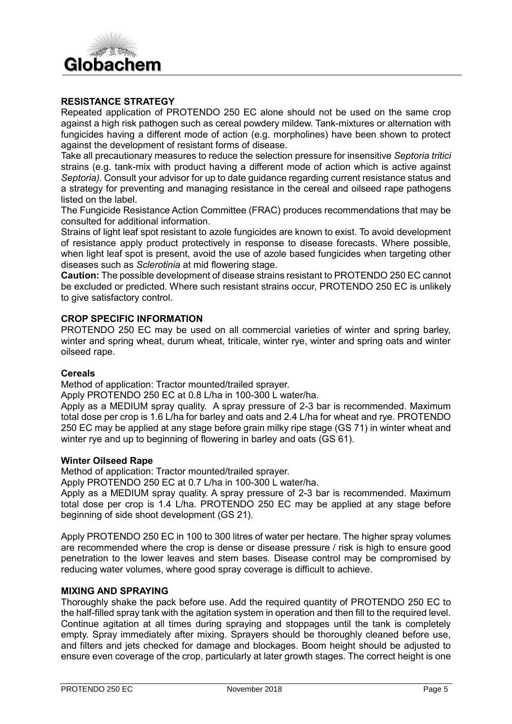# Globachem

#### **RESISTANCE STRATEGY**

Repeated application of PROTENDO 250 EC alone should not be used on the same crop against a high risk pathogen such as cereal powdery mildew. Tank-mixtures or alternation with fungicides having a different mode of action (e.g. morpholines) have been shown to protect against the development of resistant forms of disease.

Take all precautionary measures to reduce the selection pressure for insensitive *Septoria tritici* strains (e.g. tank-mix with product having a different mode of action which is active against *Septoria).* Consult your advisor for up to date guidance regarding current resistance status and a strategy for preventing and managing resistance in the cereal and oilseed rape pathogens listed on the label.

The Fungicide Resistance Action Committee (FRAC) produces recommendations that may be consulted for additional information.

Strains of light leaf spot resistant to azole fungicides are known to exist. To avoid development of resistance apply product protectively in response to disease forecasts. Where possible, when light leaf spot is present, avoid the use of azole based fungicides when targeting other diseases such as *Sclerotinia* at mid flowering stage.

**Caution:** The possible development of disease strains resistant to PROTENDO 250 EC cannot be excluded or predicted. Where such resistant strains occur, PROTENDO 250 EC is unlikely to give satisfactory control.

#### **CROP SPECIFIC INFORMATION**

PROTENDO 250 EC may be used on all commercial varieties of winter and spring barley, winter and spring wheat, durum wheat, triticale, winter rye, winter and spring oats and winter oilseed rape.

#### **Cereals**

Method of application: Tractor mounted/trailed sprayer.

Apply PROTENDO 250 EC at 0.8 L/ha in 100-300 L water/ha.

Apply as a MEDIUM spray quality. A spray pressure of 2-3 bar is recommended. Maximum total dose per crop is 1.6 L/ha for barley and oats and 2.4 L/ha for wheat and rye. PROTENDO 250 EC may be applied at any stage before grain milky ripe stage (GS 71) in winter wheat and winter rye and up to beginning of flowering in barley and oats (GS 61).

#### **Winter Oilseed Rape**

Method of application: Tractor mounted/trailed sprayer.

Apply PROTENDO 250 EC at 0.7 L/ha in 100-300 L water/ha.

Apply as a MEDIUM spray quality. A spray pressure of 2-3 bar is recommended. Maximum total dose per crop is 1.4 L/ha. PROTENDO 250 EC may be applied at any stage before beginning of side shoot development (GS 21).

Apply PROTENDO 250 EC in 100 to 300 litres of water per hectare. The higher spray volumes are recommended where the crop is dense or disease pressure / risk is high to ensure good penetration to the lower leaves and stem bases. Disease control may be compromised by reducing water volumes, where good spray coverage is difficult to achieve.

#### **MIXING AND SPRAYING**

Thoroughly shake the pack before use. Add the required quantity of PROTENDO 250 EC to the half-filled spray tank with the agitation system in operation and then fill to the required level. Continue agitation at all times during spraying and stoppages until the tank is completely empty. Spray immediately after mixing. Sprayers should be thoroughly cleaned before use, and filters and jets checked for damage and blockages. Boom height should be adjusted to ensure even coverage of the crop, particularly at later growth stages. The correct height is one